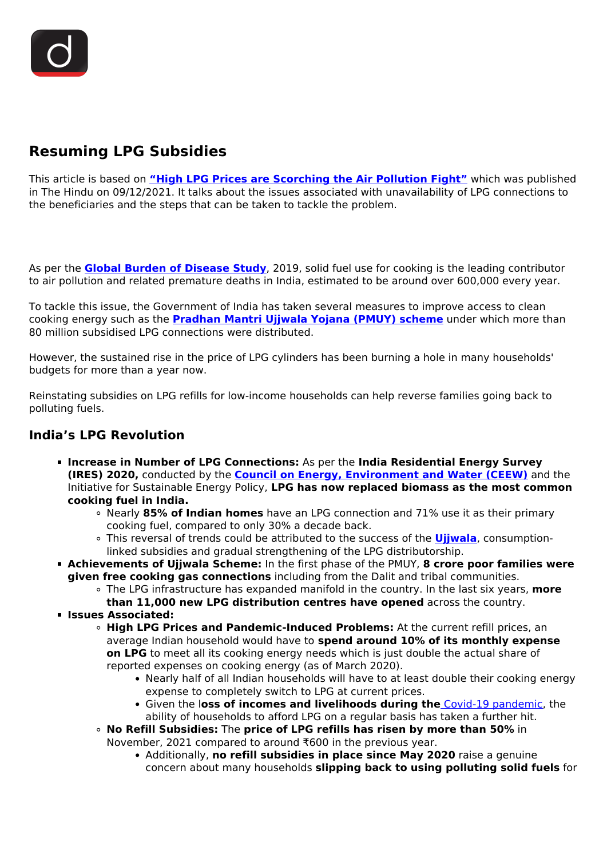# **Resuming LPG Subsidies**

This article is based on **["High LPG Prices are Scorching the Air Pollution Fight"](https://www.thehindu.com/opinion/op-ed/high-lpg-prices-are-scorching-the-air-pollution-fight/article37904630.ece)** which was published in The Hindu on 09/12/2021. It talks about the issues associated with unavailability of LPG connections to the beneficiaries and the steps that can be taken to tackle the problem.

As per the **[Global Burden of Disease Study](/daily-updates/daily-news-analysis/malnutrition-and-disease-burden)**, 2019, solid fuel use for cooking is the leading contributor to air pollution and related premature deaths in India, estimated to be around over 600,000 every year.

To tackle this issue, the Government of India has taken several measures to improve access to clean cooking energy such as the **[Pradhan Mantri Ujjwala Yojana \(PMUY\) scheme](/daily-updates/daily-news-analysis/important-facts-for-prelims)** under which more than 80 million subsidised LPG connections were distributed.

However, the sustained rise in the price of LPG cylinders has been burning a hole in many households' budgets for more than a year now.

Reinstating subsidies on LPG refills for low-income households can help reverse families going back to polluting fuels.

#### **India's LPG Revolution**

- **Increase in Number of LPG Connections:** As per the **India Residential Energy Survey (IRES) 2020,** conducted by the **[Council on Energy, Environment and Water \(CEEW\)](/daily-updates/daily-news-analysis/extreme-climate-events-ceew)** and the Initiative for Sustainable Energy Policy, **LPG has now replaced biomass as the most common cooking fuel in India.**
	- Nearly **85% of Indian homes** have an LPG connection and 71% use it as their primary cooking fuel, compared to only 30% a decade back.
	- This reversal of trends could be attributed to the success of the **[Ujjwala](/daily-updates/daily-news-analysis/ujjwala-scheme)**, consumptionlinked subsidies and gradual strengthening of the LPG distributorship.
- **Achievements of Ujjwala Scheme:** In the first phase of the PMUY, **8 crore poor families were given free cooking gas connections** including from the Dalit and tribal communities.
	- The LPG infrastructure has expanded manifold in the country. In the last six years, **more**
		- **than 11,000 new LPG distribution centres have opened** across the country.
- **Issues Associated:**
	- **High LPG Prices and Pandemic-Induced Problems:** At the current refill prices, an average Indian household would have to **spend around 10% of its monthly expense on LPG** to meet all its cooking energy needs which is just double the actual share of reported expenses on cooking energy (as of March 2020).
		- Nearly half of all Indian households will have to at least double their cooking energy expense to completely switch to LPG at current prices.
		- Given the l**oss of incomes and livelihoods during the** [Covid-19 pandemic](/daily-updates/daily-news-analysis/covid-19-now-pandemic-who), the ability of households to afford LPG on a regular basis has taken a further hit.
	- **No Refill Subsidies:** The **price of LPG refills has risen by more than 50%** in November, 2021 compared to around ₹600 in the previous year.
		- Additionally, **no refill subsidies in place since May 2020** raise a genuine concern about many households **slipping back to using polluting solid fuels** for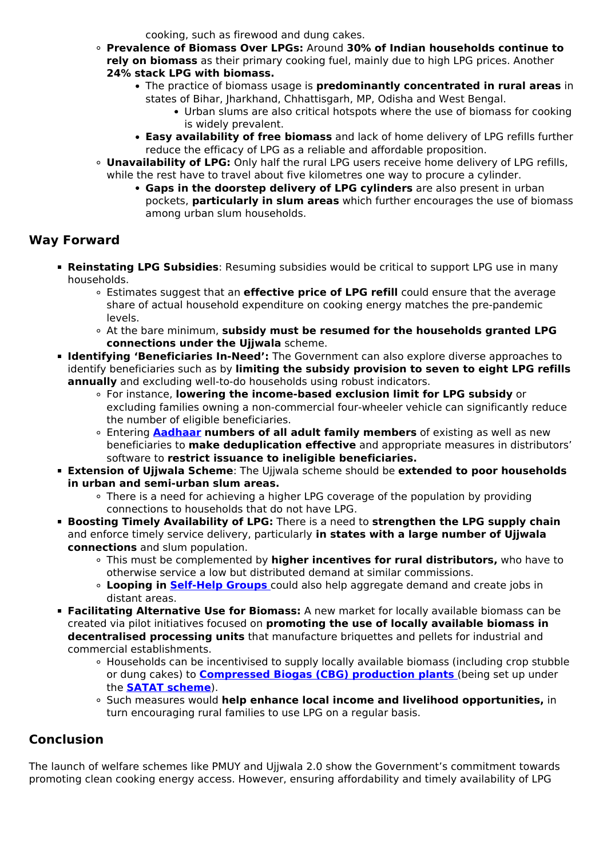cooking, such as firewood and dung cakes.

- **Prevalence of Biomass Over LPGs:** Around **30% of Indian households continue to rely on biomass** as their primary cooking fuel, mainly due to high LPG prices. Another **24% stack LPG with biomass.**
	- The practice of biomass usage is **predominantly concentrated in rural areas** in
		- states of Bihar, Jharkhand, Chhattisgarh, MP, Odisha and West Bengal.
			- Urban slums are also critical hotspots where the use of biomass for cooking is widely prevalent.
		- **Easy availability of free biomass** and lack of home delivery of LPG refills further reduce the efficacy of LPG as a reliable and affordable proposition.
- **Unavailability of LPG:** Only half the rural LPG users receive home delivery of LPG refills, while the rest have to travel about five kilometres one way to procure a cylinder.
	- **Gaps in the doorstep delivery of LPG cylinders** are also present in urban pockets, **particularly in slum areas** which further encourages the use of biomass among urban slum households.

### **Way Forward**

- **Reinstating LPG Subsidies**: Resuming subsidies would be critical to support LPG use in many households.
	- Estimates suggest that an **effective price of LPG refill** could ensure that the average share of actual household expenditure on cooking energy matches the pre-pandemic levels.
	- At the bare minimum, **subsidy must be resumed for the households granted LPG connections under the Ujjwala** scheme.
- **Identifying 'Beneficiaries In-Need':** The Government can also explore diverse approaches to identify beneficiaries such as by **limiting the subsidy provision to seven to eight LPG refills annually** and excluding well-to-do households using robust indicators.
	- For instance, **lowering the income-based exclusion limit for LPG subsidy** or excluding families owning a non-commercial four-wheeler vehicle can significantly reduce the number of eligible beneficiaries.
	- Entering **[Aadhaar](/daily-updates/daily-news-analysis/aadhar-and-its-voluntary-use) numbers of all adult family members** of existing as well as new beneficiaries to **make deduplication effective** and appropriate measures in distributors' software to **restrict issuance to ineligible beneficiaries.**
- **Extension of Ujjwala Scheme**: The Ujjwala scheme should be **extended to poor households in urban and semi-urban slum areas.**
	- There is a need for achieving a higher LPG coverage of the population by providing connections to households that do not have LPG.
- **Boosting Timely Availability of LPG:** There is a need to **strengthen the LPG supply chain** and enforce timely service delivery, particularly **in states with a large number of Ujjwala connections** and slum population.
	- This must be complemented by **higher incentives for rural distributors,** who have to otherwise service a low but distributed demand at similar commissions.
	- **Looping in [Self-Help Groups](/to-the-points/Paper2/self-help-groups-shgs)** could also help aggregate demand and create jobs in distant areas.
- **Facilitating Alternative Use for Biomass:** A new market for locally available biomass can be created via pilot initiatives focused on **promoting the use of locally available biomass in decentralised processing units** that manufacture briquettes and pellets for industrial and commercial establishments.
	- Households can be incentivised to supply locally available biomass (including crop stubble or dung cakes) to **[Compressed Biogas \(CBG\) production plants](/daily-updates/daily-news-analysis/satat-scheme)** [\(](/daily-updates/daily-news-analysis/satat-scheme)being set up under the **[SATAT scheme](/daily-updates/daily-news-analysis/satat-initiative)**).
	- Such measures would **help enhance local income and livelihood opportunities,** in turn encouraging rural families to use LPG on a regular basis.

## **Conclusion**

The launch of welfare schemes like PMUY and Ujjwala 2.0 show the Government's commitment towards promoting clean cooking energy access. However, ensuring affordability and timely availability of LPG